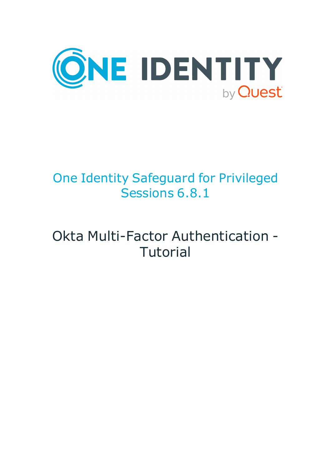

# One Identity Safeguard for Privileged Sessions 6.8.1

# Okta Multi-Factor Authentication - **Tutorial**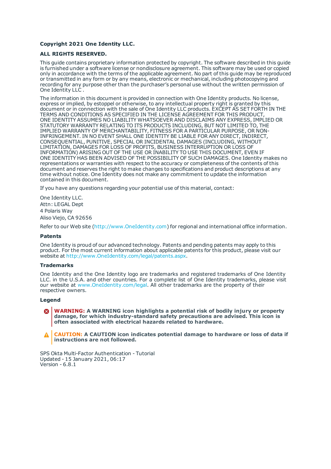#### **Copyright 2021 One Identity LLC.**

#### **ALL RIGHTS RESERVED.**

This guide contains proprietary information protected by copyright. The software described in this guide is furnished under a software license or nondisclosure agreement. This software may be used or copied only in accordance with the terms of the applicable agreement. No part of this guide may be reproduced or transmitted in any form or by any means, electronic or mechanical, including photocopying and recording for any purpose other than the purchaser's personal use without the written permission of One Identity LLC .

The information in this document is provided in connection with One Identity products. No license, express or implied, by estoppel or otherwise, to any intellectual property right is granted by this document or in connection with the sale of One Identity LLC products. EXCEPT AS SET FORTH IN THE TERMS AND CONDITIONS AS SPECIFIED IN THE LICENSE AGREEMENT FOR THIS PRODUCT, ONE IDENTITY ASSUMES NO LIABILITY WHATSOEVER AND DISCLAIMS ANY EXPRESS, IMPLIED OR STATUTORY WARRANTY RELATING TO ITS PRODUCTS INCLUDING, BUT NOT LIMITED TO, THE IMPLIED WARRANTY OF MERCHANTABILITY, FITNESS FOR A PARTICULAR PURPOSE, OR NON-INFRINGEMENT. IN NO EVENT SHALL ONE IDENTITY BE LIABLE FOR ANY DIRECT, INDIRECT, CONSEQUENTIAL, PUNITIVE, SPECIAL OR INCIDENTAL DAMAGES (INCLUDING, WITHOUT LIMITATION, DAMAGES FOR LOSS OF PROFITS, BUSINESS INTERRUPTION OR LOSS OF INFORMATION) ARISING OUT OF THE USE OR INABILITY TO USE THIS DOCUMENT, EVEN IF ONE IDENTITY HAS BEEN ADVISED OF THE POSSIBILITY OF SUCH DAMAGES. One Identity makes no representations or warranties with respect to the accuracy or completeness of the contents of this document and reserves the right to make changes to specifications and product descriptions at any time without notice. One Identity does not make any commitment to update the information contained in this document.

If you have any questions regarding your potential use of this material, contact:

One Identity LLC. Attn: LEGAL Dept 4 Polaris Way Aliso Viejo, CA 92656

Refer to our Web site ([http://www.OneIdentity.com](http://www.oneidentity.com/)) for regional and international office information.

#### **Patents**

One Identity is proud of our advanced technology. Patents and pending patents may apply to this product. For the most current information about applicable patents for this product, please visit our website at [http://www.OneIdentity.com/legal/patents.aspx](http://www.oneidentity.com/legal/patents.aspx).

#### **Trademarks**

One Identity and the One Identity logo are trademarks and registered trademarks of One Identity LLC. in the U.S.A. and other countries. For a complete list of One Identity trademarks, please visit our website at [www.OneIdentity.com/legal](http://www.oneidentity.com/legal). All other trademarks are the property of their respective owners.

#### **Legend**

**WARNING: A WARNING icon highlights a potential risk of bodily injury or property damage, for which industry-standard safety precautions are advised. This icon is often associated with electrical hazards related to hardware.**

**CAUTION: A CAUTION icon indicates potential damage to hardware or loss of data if** A **instructions are not followed.**

SPS Okta Multi-Factor Authentication - Tutorial Updated - 15 January 2021, 06:17 Version - 6.8.1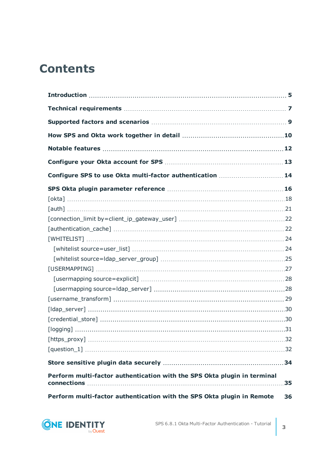# **Contents**

| Configure SPS to use Okta multi-factor authentication  14                               |    |
|-----------------------------------------------------------------------------------------|----|
|                                                                                         |    |
|                                                                                         |    |
|                                                                                         |    |
|                                                                                         |    |
|                                                                                         |    |
|                                                                                         |    |
|                                                                                         |    |
|                                                                                         |    |
|                                                                                         |    |
|                                                                                         |    |
|                                                                                         |    |
|                                                                                         |    |
|                                                                                         |    |
|                                                                                         |    |
|                                                                                         |    |
|                                                                                         |    |
|                                                                                         |    |
|                                                                                         |    |
| Perform multi-factor authentication with the SPS Okta plugin in terminal<br>connections | 35 |
| Perform multi-factor authentication with the SPS Okta plugin in Remote                  | 36 |

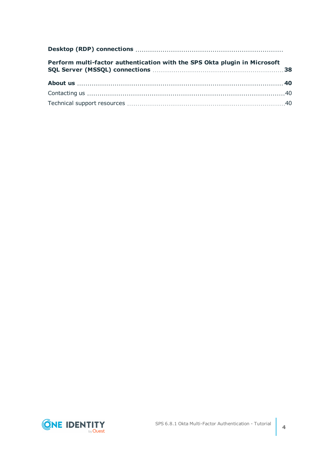| Perform multi-factor authentication with the SPS Okta plugin in Microsoft |  |
|---------------------------------------------------------------------------|--|
|                                                                           |  |
|                                                                           |  |
|                                                                           |  |

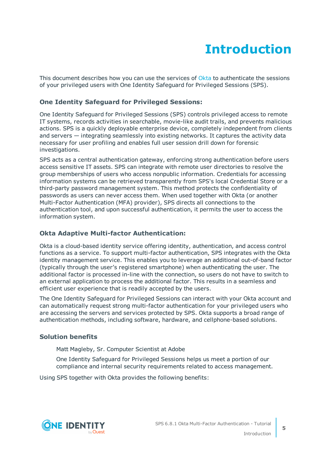# **Introduction**

<span id="page-4-0"></span>This document describes how you can use the services of [Okta](https://www.okta.com/) to authenticate the sessions of your privileged users with One Identity Safeguard for Privileged Sessions (SPS).

### **One Identity Safeguard for Privileged Sessions:**

One Identity Safeguard for Privileged Sessions (SPS) controls privileged access to remote IT systems, records activities in searchable, movie-like audit trails, and prevents malicious actions. SPS is a quickly deployable enterprise device, completely independent from clients and servers — integrating seamlessly into existing networks. It captures the activity data necessary for user profiling and enables full user session drill down for forensic investigations.

SPS acts as a central authentication gateway, enforcing strong authentication before users access sensitive IT assets. SPS can integrate with remote user directories to resolve the group memberships of users who access nonpublic information. Credentials for accessing information systems can be retrieved transparently from SPS's local Credential Store or a third-party password management system. This method protects the confidentiality of passwords as users can never access them. When used together with Okta (or another Multi-Factor Authentication (MFA) provider), SPS directs all connections to the authentication tool, and upon successful authentication, it permits the user to access the information system.

### **Okta Adaptive Multi-factor Authentication:**

Okta is a cloud-based identity service offering identity, authentication, and access control functions as a service. To support multi-factor authentication, SPS integrates with the Okta identity management service. This enables you to leverage an additional out-of-band factor (typically through the user's registered smartphone) when authenticating the user. The additional factor is processed in-line with the connection, so users do not have to switch to an external application to process the additional factor. This results in a seamless and efficient user experience that is readily accepted by the users.

The One Identity Safeguard for Privileged Sessions can interact with your Okta account and can automatically request strong multi-factor authentication for your privileged users who are accessing the servers and services protected by SPS. Okta supports a broad range of authentication methods, including software, hardware, and cellphone-based solutions.

### **Solution benefits**

Matt Magleby, Sr. Computer Scientist at Adobe

One Identity Safeguard for Privileged Sessions helps us meet a portion of our compliance and internal security requirements related to access management.

Using SPS together with Okta provides the following benefits:

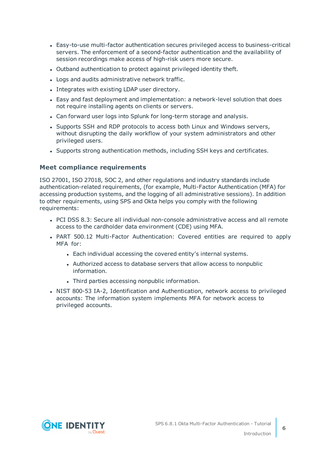- <sup>l</sup> Easy-to-use multi-factor authentication secures privileged access to business-critical servers. The enforcement of a second-factor authentication and the availability of session recordings make access of high-risk users more secure.
- Outband authentication to protect against privileged identity theft.
- Logs and audits administrative network traffic.
- Integrates with existing LDAP user directory.
- Easy and fast deployment and implementation: a network-level solution that does not require installing agents on clients or servers.
- Can forward user logs into Splunk for long-term storage and analysis.
- Supports SSH and RDP protocols to access both Linux and Windows servers, without disrupting the daily workflow of your system administrators and other privileged users.
- Supports strong authentication methods, including SSH keys and certificates.

### **Meet compliance requirements**

ISO 27001, ISO 27018, SOC 2, and other regulations and industry standards include authentication-related requirements, (for example, Multi-Factor Authentication (MFA) for accessing production systems, and the logging of all administrative sessions). In addition to other requirements, using SPS and Okta helps you comply with the following requirements:

- PCI DSS 8.3: Secure all individual non-console administrative access and all remote access to the cardholder data environment (CDE) using MFA.
- PART 500.12 Multi-Factor Authentication: Covered entities are required to apply MFA for:
	- Each individual accessing the covered entity's internal systems.
	- Authorized access to database servers that allow access to nonpublic information.
	- Third parties accessing nonpublic information.
- NIST 800-53 IA-2, Identification and Authentication, network access to privileged accounts: The information system implements MFA for network access to privileged accounts.

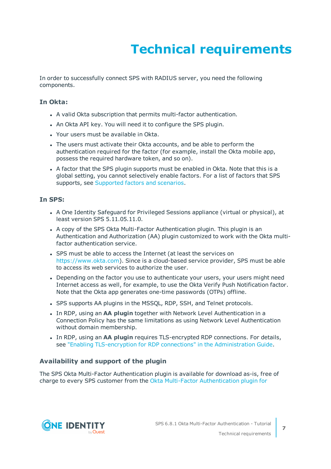# **Technical requirements**

<span id="page-6-0"></span>In order to successfully connect SPS with RADIUS server, you need the following components.

### **In Okta:**

- A valid Okta subscription that permits multi-factor authentication.
- An Okta API key. You will need it to configure the SPS plugin.
- Your users must be available in Okta.
- The users must activate their Okta accounts, and be able to perform the authentication required for the factor (for example, install the Okta mobile app, possess the required hardware token, and so on).
- A factor that the SPS plugin supports must be enabled in Okta. Note that this is a global setting, you cannot selectively enable factors. For a list of factors that SPS supports, see [Supported](#page-8-0) factors and scenarios.

### **In SPS:**

- A One Identity Safeguard for Privileged Sessions appliance (virtual or physical), at least version SPS 5.11.05.11.0.
- A copy of the SPS Okta Multi-Factor Authentication plugin. This plugin is an Authentication and Authorization (AA) plugin customized to work with the Okta multifactor authentication service.
- SPS must be able to access the Internet (at least the services on [https://www.okta.com](https://www.okta.com/)). Since is a cloud-based service provider, SPS must be able to access its web services to authorize the user.
- Depending on the factor you use to authenticate your users, your users might need Internet access as well, for example, to use the Okta Verify Push Notification factor. Note that the Okta app generates one-time passwords (OTPs) offline.
- SPS supports AA plugins in the MSSOL, RDP, SSH, and Telnet protocols.
- In RDP, using an AA plugin together with Network Level Authentication in a Connection Policy has the same limitations as using Network Level Authentication without domain membership.
- <sup>l</sup> In RDP, using an **AA plugin** requires TLS-encrypted RDP connections. For details, see "Enabling [TLS-encryption](https://support.oneidentity.com/technical-documents/safeguard-for-privileged-sessions/6.8.1/administration-guide/rdp-specific-settings/enabling-tls-encryption-for-rdp-connections/) for RDP connections" in the Administration Guide.

### **Availability and support of the plugin**

The SPS Okta Multi-Factor Authentication plugin is available for download as-is, free of charge to every SPS customer from the Okta Multi-Factor [Authentication](https://github.com/OneIdentity/safeguard-sessions-plugin-okta-mfa/releases) plugin for



**7**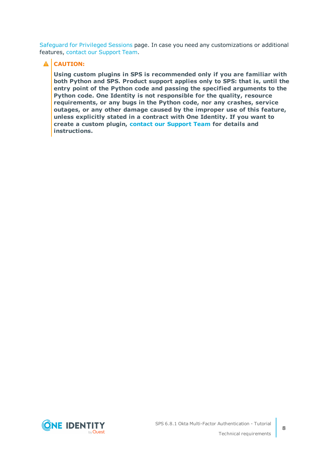[Safeguard](https://github.com/OneIdentity/safeguard-sessions-plugin-okta-mfa/releases) for Privileged Sessions page. In case you need any customizations or additional features, contact our [Support](https://support.oneidentity.com/one-identity-safeguard-for-privileged-sessions) Team.

### **A** CAUTION:

**Using custom plugins in SPS is recommended only if you are familiar with both Python and SPS. Product support applies only to SPS: that is, until the entry point of the Python code and passing the specified arguments to the Python code. One Identity is not responsible for the quality, resource requirements, or any bugs in the Python code, nor any crashes, service outages, or any other damage caused by the improper use of this feature, unless explicitly stated in a contract with One Identity. If you want to create a custom plugin, contact our [Support](https://support.oneidentity.com/one-identity-safeguard-for-privileged-sessions) Team for details and instructions.**

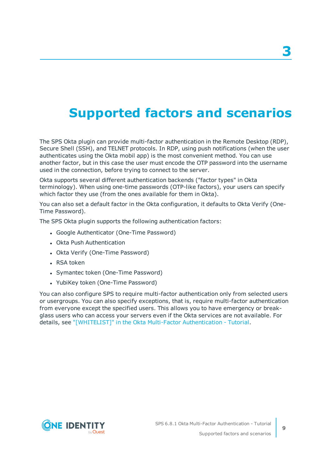# <span id="page-8-0"></span>**Supported factors and scenarios**

The SPS Okta plugin can provide multi-factor authentication in the Remote Desktop (RDP), Secure Shell (SSH), and TELNET protocols. In RDP, using push notifications (when the user authenticates using the Okta mobil app) is the most convenient method. You can use another factor, but in this case the user must encode the OTP password into the username used in the connection, before trying to connect to the server.

Okta supports several different authentication backends ("factor types" in Okta terminology). When using one-time passwords (OTP-like factors), your users can specify which factor they use (from the ones available for them in Okta).

You can also set a default factor in the Okta configuration, it defaults to Okta Verify (One-Time Password).

The SPS Okta plugin supports the following authentication factors:

- Google Authenticator (One-Time Password)
- Okta Push Authentication
- Okta Verify (One-Time Password)
- $\cdot$  RSA token
- Symantec token (One-Time Password)
- YubiKey token (One-Time Password)

You can also configure SPS to require multi-factor authentication only from selected users or usergroups. You can also specify exceptions, that is, require multi-factor authentication from everyone except the specified users. This allows you to have emergency or breakglass users who can access your servers even if the Okta services are not available. For details, see ["\[WHITELIST\]"](https://support.oneidentity.com/technical-documents/safeguard-for-privileged-sessions/6.8.1/okta-multi-factor-authentication---tutorial/sps-okta-plugin-parameter-reference/[whitelist]/) in the Okta Multi-Factor Authentication - Tutorial.



**9**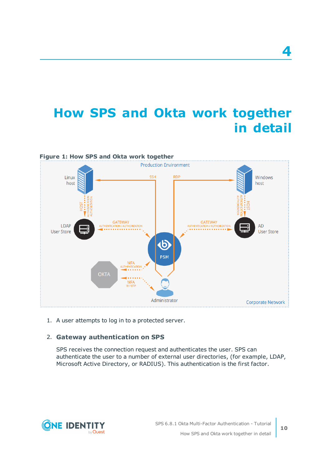# <span id="page-9-0"></span>**How SPS and Okta work together in detail**



1. A user attempts to log in to a protected server.

### 2. **Gateway authentication on SPS**

SPS receives the connection request and authenticates the user. SPS can authenticate the user to a number of external user directories, (for example, LDAP, Microsoft Active Directory, or RADIUS). This authentication is the first factor.

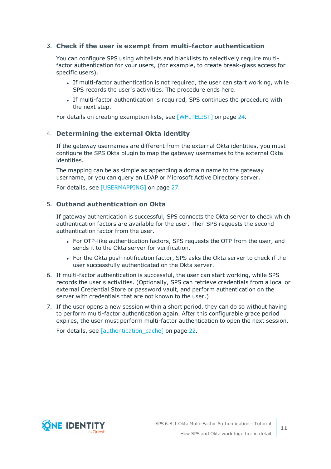### 3. **Check if the user is exempt from multi-factor authentication**

You can configure SPS using whitelists and blacklists to selectively require multifactor authentication for your users, (for example, to create break-glass access for specific users).

- If multi-factor authentication is not required, the user can start working, while SPS records the user's activities. The procedure ends here.
- If multi-factor authentication is required, SPS continues the procedure with the next step.

For details on creating exemption lists, see [\[WHITELIST\]](#page-23-0) on page 24.

### 4. **Determining the external Okta identity**

If the gateway usernames are different from the external Okta identities, you must configure the SPS Okta plugin to map the gateway usernames to the external Okta identities.

The mapping can be as simple as appending a domain name to the gateway username, or you can query an LDAP or Microsoft Active Directory server.

For details, see [\[USERMAPPING\]](#page-26-0) on page 27.

### 5. **Outband authentication on Okta**

If gateway authentication is successful, SPS connects the Okta server to check which authentication factors are available for the user. Then SPS requests the second authentication factor from the user.

- For OTP-like authentication factors, SPS requests the OTP from the user, and sends it to the Okta server for verification.
- For the Okta push notification factor, SPS asks the Okta server to check if the user successfully authenticated on the Okta server.
- 6. If multi-factor authentication is successful, the user can start working, while SPS records the user's activities. (Optionally, SPS can retrieve credentials from a local or external Credential Store or password vault, and perform authentication on the server with credentials that are not known to the user.)
- 7. If the user opens a new session within a short period, they can do so without having to perform multi-factor authentication again. After this configurable grace period expires, the user must perform multi-factor authentication to open the next session.

For details, see [\[authentication\\_cache\]](#page-21-1) on page 22.

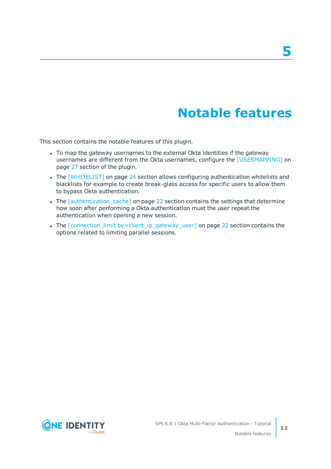# **Notable features**

<span id="page-11-0"></span>This section contains the notable features of this plugin.

- To map the gateway usernames to the external Okta identities if the gateway usernames are different from the Okta usernames, configure the [\[USERMAPPING\]](#page-26-0) on [page](#page-26-0) 27 section of the plugin.
- The [\[WHITELIST\]](#page-23-0) on page 24 section allows configuring authentication whitelists and blacklists for example to create break-glass access for specific users to allow them to bypass Okta authentication.
- The *[\[authentication\\_cache\]](#page-21-1)* on page 22 section contains the settings that determine how soon after performing a Okta authentication must the user repeat the authentication when opening a new session.
- The [connection\_limit [by=client\\_ip\\_gateway\\_user\]](#page-21-0) on page 22 section contains the options related to limiting parallel sessions.



**12**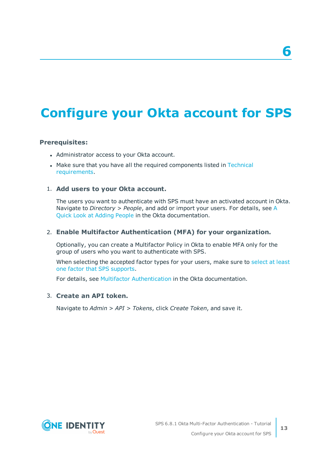# <span id="page-12-0"></span>**Configure your Okta account for SPS**

### **Prerequisites:**

- Administrator access to your Okta account.
- Make sure that you have all the required components listed in [Technical](#page-6-0) [requirements](#page-6-0).

### 1. **Add users to your Okta account.**

The users you want to authenticate with SPS must have an activated account in Okta. Navigate to *Directory > People*, and add or import your users. For details, see [A](https://support.okta.com/help/Documentation/Knowledge_Article/Common_Okta_Tasks/A-Quick-Look-at-Adding-People) Quick Look at [Adding](https://support.okta.com/help/Documentation/Knowledge_Article/Common_Okta_Tasks/A-Quick-Look-at-Adding-People) People in the Okta documentation.

### 2. **Enable Multifactor Authentication (MFA) for your organization.**

Optionally, you can create a Multifactor Policy in Okta to enable MFA only for the group of users who you want to authenticate with SPS.

When [select](#page-8-0)ing the accepted factor types for your users, make sure to select at least one factor that SPS [supports](#page-8-0).

For details, see Multifactor [Authentication](https://support.okta.com/help/Documentation/Knowledge_Article/Multifactor-Authentication-1320134400) in the Okta documentation.

### 3. **Create an API token.**

Navigate to *Admin > API > Tokens*, click *Create Token*, and save it.

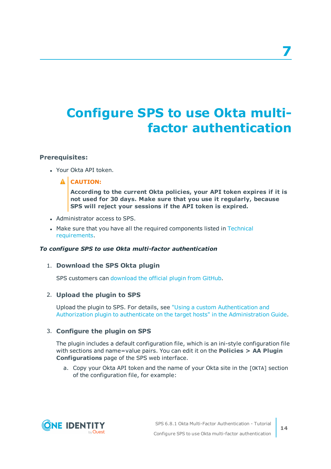# <span id="page-13-0"></span>**Configure SPS to use Okta multifactor authentication**

### **Prerequisites:**

- Your Okta API token.
	- **A** CAUTION:

**According to the current Okta policies, your API token expires if it is not used for 30 days. Make sure that you use it regularly, because SPS will reject your sessions if the API token is expired.**

- Administrator access to SPS.
- Make sure that you have all the required components listed in [Technical](#page-6-0) [requirements](#page-6-0).

### *To configure SPS to use Okta multi-factor authentication*

### 1. **Download the SPS Okta plugin**

SPS customers can [download](https://github.com/OneIdentity/safeguard-sessions-plugin-okta-mfa/releases) the official plugin from GitHub.

### 2. **Upload the plugin to SPS**

Upload the plugin to SPS. For details, see "Using a custom [Authentication](https://support.oneidentity.com/technical-documents/safeguard-for-privileged-sessions/6.8.1/administration-guide/advanced-authentication-and-authorization-techniques/integrating-external-authentication-and-authorization-systems/using-a-custom-authentication-and-authorization-plugin-to-authenticate-on-the-target-hosts/) and Authorization plugin to authenticate on the target hosts" in the [Administration](https://support.oneidentity.com/technical-documents/safeguard-for-privileged-sessions/6.8.1/administration-guide/advanced-authentication-and-authorization-techniques/integrating-external-authentication-and-authorization-systems/using-a-custom-authentication-and-authorization-plugin-to-authenticate-on-the-target-hosts/) Guide.

### 3. **Configure the plugin on SPS**

The plugin includes a default configuration file, which is an ini-style configuration file with sections and name=value pairs. You can edit it on the **Policies > AA Plugin Configurations** page of the SPS web interface.

a. Copy your Okta API token and the name of your Okta site in the [OKTA] section of the configuration file, for example:

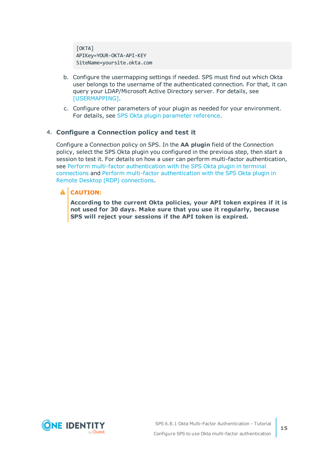[OKTA] APIKey=YOUR-OKTA-API-KEY SiteName=yoursite.okta.com

- b. Configure the usermapping settings if needed. SPS must find out which Okta user belongs to the username of the authenticated connection. For that, it can query your LDAP/Microsoft Active Directory server. For details, see [\[USERMAPPING\].](#page-26-0)
- c. Configure other parameters of your plugin as needed for your environment. For details, see SPS Okta plugin [parameter](#page-15-0) reference.

### 4. **Configure a Connection policy and test it**

Configure a Connection policy on SPS. In the **AA plugin** field of the Connection policy, select the SPS Okta plugin you configured in the previous step, then start a session to test it. For details on how a user can perform multi-factor authentication, see Perform multi-factor [authentication](#page-34-0) with the SPS Okta plugin in terminal [connections](#page-34-0) and Perform multi-factor [authentication](#page-35-0) with the SPS Okta plugin in Remote Desktop (RDP) [connections.](#page-35-0)

#### **CAUTION:** A

**According to the current Okta policies, your API token expires if it is not used for 30 days. Make sure that you use it regularly, because SPS will reject your sessions if the API token is expired.**

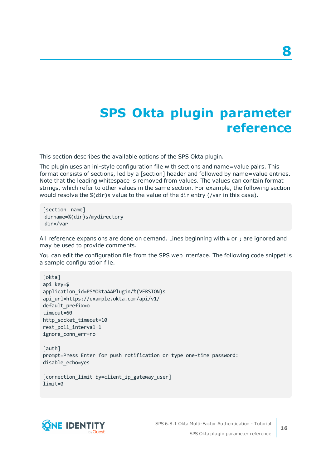# <span id="page-15-0"></span>**SPS Okta plugin parameter reference**

This section describes the available options of the SPS Okta plugin.

The plugin uses an ini-style configuration file with sections and name=value pairs. This format consists of sections, led by a [section] header and followed by name=value entries. Note that the leading whitespace is removed from values. The values can contain format strings, which refer to other values in the same section. For example, the following section would resolve the %(dir)s value to the value of the dir entry (/var in this case).

[section name] dirname=%(dir)s/mydirectory dir=/var

All reference expansions are done on demand. Lines beginning with # or ; are ignored and may be used to provide comments.

You can edit the configuration file from the SPS web interface. The following code snippet is a sample configuration file.

```
[okta]
api_key=$
application_id=PSMOktaAAPlugin/%(VERSION)s
api_url=https://example.okta.com/api/v1/
default_prefix=o
timeout=60
http socket timeout=10
rest_poll_interval=1
ignore_conn_err=no
```
[auth] prompt=Press Enter for push notification or type one-time password: disable\_echo=yes

```
[connection_limit by=client_ip_gateway_user]
limit=0
```
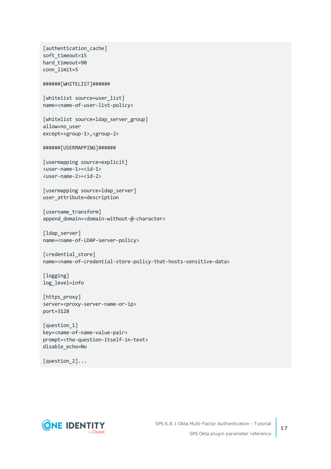```
[authentication cache]
soft_timeout=15
hard timeout=90
conn_limit=5
######[WHITELIST]######
[whitelist source=user list]
name=<name-of-user-list-policy>
[whitelist source=ldap server group]
allow=no_user
except=<group-1>,<group-2>
######[USERMAPPING]######
[usermapping source=explicit]
<user-name-1>=<id-1>
<user-name-2>=<id-2>
[usermapping source=ldap server]
user_attribute=description
[username transform]
append domain=<domain-without-@-character>
[ldap_server]
name=<name-of-LDAP-server-policy>
[credential store]
name=<name-of-credential-store-policy-that-hosts-sensitive-data>
[logging]
log_level=info
[https_proxy]
server=<proxy-server-name-or-ip>
port=3128
[question_1]
key=<name-of-name-value-pair>
prompt=<the-question-itself-in-text>
disable_echo=No
```


[question\_2]...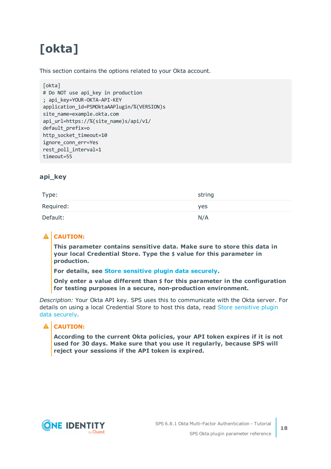# <span id="page-17-0"></span>**[okta]**

This section contains the options related to your Okta account.

```
[okta]
# Do NOT use api_key in production
; api_key=YOUR-OKTA-API-KEY
application_id=PSMOktaAAPlugin/%(VERSION)s
site_name=example.okta.com
api_url=https://%(site_name)s/api/v1/
default_prefix=o
http socket timeout=10
ignore_conn_err=Yes
rest poll interval=1
timeout=55
```
### **api\_key**

| Type:     | string |
|-----------|--------|
| Required: | yes    |
| Default:  | N/A    |

### **A** CAUTION:

**This parameter contains sensitive data. Make sure to store this data in your local Credential Store. Type the \$ value for this parameter in production.**

**For details, see Store [sensitive](#page-33-0) plugin data securely.**

**Only enter a value different than \$ for this parameter in the configuration for testing purposes in a secure, non-production environment.**

*Description:* Your Okta API key. SPS uses this to communicate with the Okta server. For details on using a local Credential Store to host this data, read Store [sensitive](#page-33-0) plugin data [securely.](#page-33-0)

### **A** CAUTION:

**According to the current Okta policies, your API token expires if it is not used for 30 days. Make sure that you use it regularly, because SPS will reject your sessions if the API token is expired.**

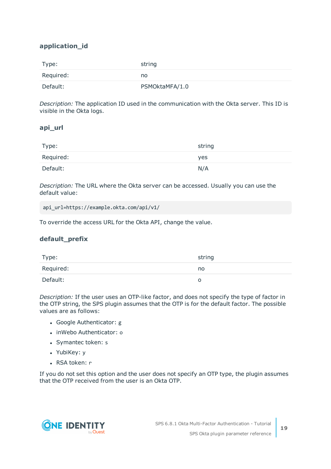### **application\_id**

| Type:     | string         |
|-----------|----------------|
| Required: | no             |
| Default:  | PSMOktaMFA/1.0 |

*Description:* The application ID used in the communication with the Okta server. This ID is visible in the Okta logs.

### **api\_url**

| Type:     | string |
|-----------|--------|
| Required: | yes    |
| Default:  | N/A    |

*Description:* The URL where the Okta server can be accessed. Usually you can use the default value:

api\_url=https://example.okta.com/api/v1/

To override the access URL for the Okta API, change the value.

### **default\_prefix**

| Type:     | string |
|-----------|--------|
| Required: | no     |
| Default:  |        |

*Description:* If the user uses an OTP-like factor, and does not specify the type of factor in the OTP string, the SPS plugin assumes that the OTP is for the default factor. The possible values are as follows:

- Google Authenticator: g
- inWebo Authenticator: o
- Symantec token: s
- YubiKey: y
- RSA token: r

If you do not set this option and the user does not specify an OTP type, the plugin assumes that the OTP received from the user is an Okta OTP.

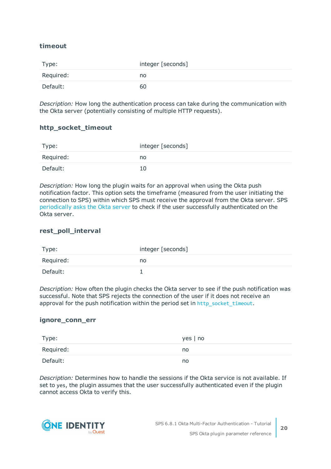### **timeout**

| Type:     | integer [seconds] |
|-----------|-------------------|
| Required: | no                |
| Default:  | 60                |

*Description:* How long the authentication process can take during the communication with the Okta server (potentially consisting of multiple HTTP requests).

### **http\_socket\_timeout**

| Type:     | integer [seconds] |
|-----------|-------------------|
| Required: | no                |
| Default:  | 10                |

*Description:* How long the plugin waits for an approval when using the Okta push notification factor. This option sets the timeframe (measured from the user initiating the connection to SPS) within which SPS must receive the approval from the Okta server. SPS [periodically](#page-15-0) asks the Okta server to check if the user successfully authenticated on the Okta server.

### **rest\_poll\_interval**

| Type:     | integer [seconds] |
|-----------|-------------------|
| Required: | no                |
| Default:  |                   |

*Description:* How often the plugin checks the Okta server to see if the push notification was successful. Note that SPS rejects the connection of the user if it does not receive an approval for the push notification within the period set in [http\\_socket\\_timeout](#page-15-0).

### **ignore\_conn\_err**

| Type:     | $yes \mid no$ |
|-----------|---------------|
| Required: | no            |
| Default:  | no            |

*Description:* Determines how to handle the sessions if the Okta service is not available. If set to yes, the plugin assumes that the user successfully authenticated even if the plugin cannot access Okta to verify this.

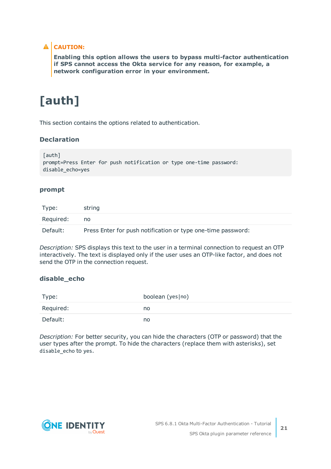### **A** CAUTION:

**Enabling this option allows the users to bypass multi-factor authentication if SPS cannot access the Okta service for any reason, for example, a network configuration error in your environment.**

# <span id="page-20-0"></span>**[auth]**

This section contains the options related to authentication.

### **Declaration**

```
[auth]
prompt=Press Enter for push notification or type one-time password:
disable_echo=yes
```
### **prompt**

| Type:     | string                                                       |
|-----------|--------------------------------------------------------------|
| Required: | no                                                           |
| Default:  | Press Enter for push notification or type one-time password: |

*Description:* SPS displays this text to the user in a terminal connection to request an OTP interactively. The text is displayed only if the user uses an OTP-like factor, and does not send the OTP in the connection request.

### **disable\_echo**

| Type:     | boolean (yes no) |
|-----------|------------------|
| Required: | no               |
| Default:  | no               |

*Description:* For better security, you can hide the characters (OTP or password) that the user types after the prompt. To hide the characters (replace them with asterisks), set disable\_echo to yes.

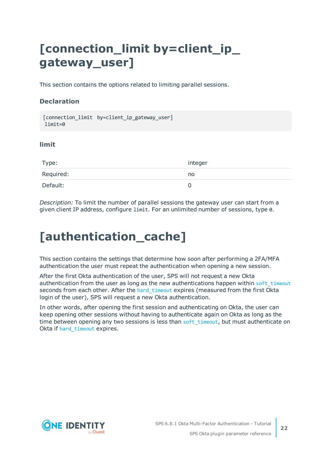# <span id="page-21-0"></span>**[connection\_limit by=client\_ip\_ gateway\_user]**

This section contains the options related to limiting parallel sessions.

### **Declaration**

```
[connection limit by=client ip gateway user]
limit=0
```
### **limit**

| Type:     | integer  |
|-----------|----------|
| Required: | no       |
| Default:  | $\Omega$ |

*Description:* To limit the number of parallel sessions the gateway user can start from a given client IP address, configure limit. For an unlimited number of sessions, type 0.

# <span id="page-21-1"></span>**[authentication\_cache]**

This section contains the settings that determine how soon after performing a 2FA/MFA authentication the user must repeat the authentication when opening a new session.

After the first Okta authentication of the user, SPS will not request a new Okta authentication from the user as long as the new authentications happen within soft timeout seconds from each other. After the hard timeout expires (measured from the first Okta login of the user), SPS will request a new Okta authentication.

In other words, after opening the first session and authenticating on Okta, the user can keep opening other sessions without having to authenticate again on Okta as long as the time between opening any two sessions is less than soft timeout, but must authenticate on Okta if hard timeout expires.

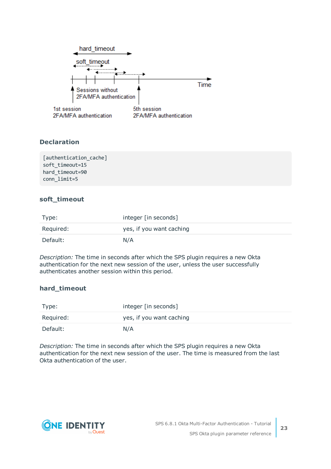

### **Declaration**

[authentication cache] soft\_timeout=15 hard timeout=90 conn\_limit=5

### <span id="page-22-0"></span>**soft\_timeout**

| Type:     | integer [in seconds]     |
|-----------|--------------------------|
| Required: | yes, if you want caching |
| Default:  | N/A                      |

*Description:* The time in seconds after which the SPS plugin requires a new Okta authentication for the next new session of the user, unless the user successfully authenticates another session within this period.

### <span id="page-22-1"></span>**hard\_timeout**

| Type:     | integer [in seconds]     |
|-----------|--------------------------|
| Required: | yes, if you want caching |
| Default:  | N/A                      |

*Description:* The time in seconds after which the SPS plugin requires a new Okta authentication for the next new session of the user. The time is measured from the last Okta authentication of the user.

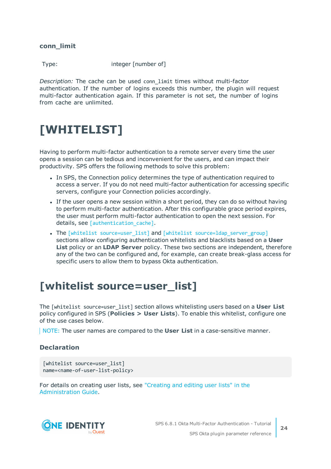**conn\_limit**

Type: integer [number of]

*Description:* The cache can be used conn\_limit times without multi-factor authentication. If the number of logins exceeds this number, the plugin will request multi-factor authentication again. If this parameter is not set, the number of logins from cache are unlimited.

# <span id="page-23-0"></span>**[WHITELIST]**

Having to perform multi-factor authentication to a remote server every time the user opens a session can be tedious and inconvenient for the users, and can impact their productivity. SPS offers the following methods to solve this problem:

- In SPS, the Connection policy determines the type of authentication required to access a server. If you do not need multi-factor authentication for accessing specific servers, configure your Connection policies accordingly.
- If the user opens a new session within a short period, they can do so without having to perform multi-factor authentication. After this configurable grace period expires, the user must perform multi-factor authentication to open the next session. For details, see [authentication cache].
- The [whitelist source=user list] and [whitelist source=ldap server group] sections allow configuring authentication whitelists and blacklists based on a **User List** policy or an **LDAP Server** policy. These two sections are independent, therefore any of the two can be configured and, for example, can create break-glass access for specific users to allow them to bypass Okta authentication.

### <span id="page-23-1"></span>**[whitelist source=user\_list]**

The [whitelist source=user\_list] section allows whitelisting users based on a **User List** policy configured in SPS (**Policies > User Lists**). To enable this whitelist, configure one of the use cases below.

NOTE: The user names are compared to the **User List** in a case-sensitive manner.

### **Declaration**

```
[whitelist source=user list]
name=<name-of-user-list-policy>
```
For details on creating user lists, see ["Creating](https://support.oneidentity.com/technical-documents/safeguard-for-privileged-sessions/6.8.1/administration-guide/general-connection-settings/creating-and-editing-user-lists/) and editing user lists" in the [Administration](https://support.oneidentity.com/technical-documents/safeguard-for-privileged-sessions/6.8.1/administration-guide/general-connection-settings/creating-and-editing-user-lists/) Guide.

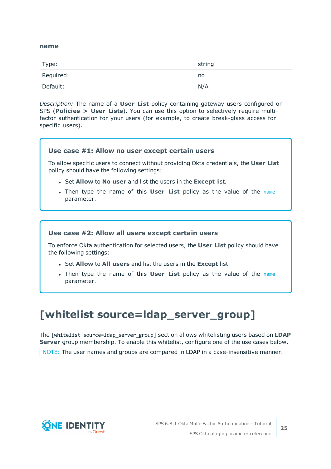### <span id="page-24-1"></span>**name**

| Type:     | string |
|-----------|--------|
| Required: | no     |
| Default:  | N/A    |

*Description:* The name of a **User List** policy containing gateway users configured on SPS (**Policies > User Lists**). You can use this option to selectively require multifactor authentication for your users (for example, to create break-glass access for specific users).

### **Use case #1: Allow no user except certain users**

To allow specific users to connect without providing Okta credentials, the **User List** policy should have the following settings:

- <sup>l</sup> Set **Allow** to **No user** and list the users in the **Except** list.
- **.** Then type the [name](#page-24-1) of this **User List** policy as the value of the name parameter.

### **Use case #2: Allow all users except certain users**

To enforce Okta authentication for selected users, the **User List** policy should have the following settings:

- <sup>l</sup> Set **Allow** to **All users** and list the users in the **Except** list.
- **.** Then type the [name](#page-24-1) of this **User List** policy as the value of the name parameter.

### <span id="page-24-0"></span>**[whitelist source=ldap\_server\_group]**

The [whitelist source=ldap\_server\_group] section allows whitelisting users based on **LDAP Server** group membership. To enable this whitelist, configure one of the use cases below.

NOTE: The user names and groups are compared in LDAP in a case-insensitive manner.

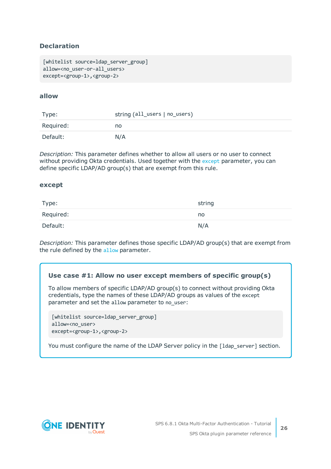### **Declaration**

```
[whitelist source=ldap server group]
allow=<no user-or-all users>
except=<group-1>,<group-2>
```
### <span id="page-25-1"></span>**allow**

| Type:     | string (all_users   no_users) |
|-----------|-------------------------------|
| Required: | no                            |
| Default:  | N/A                           |

*Description:* This parameter defines whether to allow all users or no user to connect without providing Okta credentials. Used together with the [except](#page-25-0) parameter, you can define specific LDAP/AD group(s) that are exempt from this rule.

### <span id="page-25-0"></span>**except**

| Type:     | string |
|-----------|--------|
| Required: | no     |
| Default:  | N/A    |

*Description:* This parameter defines those specific LDAP/AD group(s) that are exempt from the rule defined by the [allow](#page-25-1) parameter.

### **Use case #1: Allow no user except members of specific group(s)**

To allow members of specific LDAP/AD group(s) to connect without providing Okta credentials, type the names of these LDAP/AD groups as values of the except parameter and set the allow parameter to no user:

[whitelist source=ldap\_server\_group] allow=<no\_user> except=<group-1>,<group-2>

You must configure the name of the LDAP Server policy in the [1dap\_server] section.

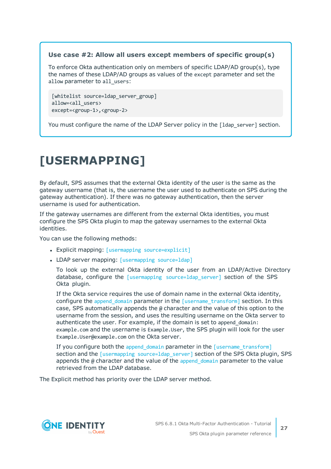### **Use case #2: Allow all users except members of specific group(s)**

To enforce Okta authentication only on members of specific LDAP/AD group(s), type the names of these LDAP/AD groups as values of the except parameter and set the allow parameter to all users:

```
[whitelist source=ldap_server_group]
allow=<all_users>
except=<group-1>,<group-2>
```
You must configure the name of the LDAP Server policy in the [1dap\_server] section.

# <span id="page-26-0"></span>**[USERMAPPING]**

By default, SPS assumes that the external Okta identity of the user is the same as the gateway username (that is, the username the user used to authenticate on SPS during the gateway authentication). If there was no gateway authentication, then the server username is used for authentication.

If the gateway usernames are different from the external Okta identities, you must configure the SPS Okta plugin to map the gateway usernames to the external Okta identities.

You can use the following methods:

- Explicit mapping: [usermapping [source=explicit\]](#page-27-0)
- LDAP server mapping: [\[usermapping](#page-27-1) source=ldap]

To look up the external Okta identity of the user from an LDAP/Active Directory database, configure the [usermapping [source=ldap\\_server\]](#page-27-1) section of the SPS Okta plugin.

If the Okta service requires the use of domain name in the external Okta identity, configure the append domain parameter in the  $[$ username transform] section. In this case, SPS automatically appends the @ character and the value of this option to the username from the session, and uses the resulting username on the Okta server to authenticate the user. For example, if the domain is set to append domain: example.com and the username is Example.User, the SPS plugin will look for the user Example.User@example.com on the Okta server.

If you configure both the append domain parameter in the [\[username\\_transform\]](#page-28-0) section and the [usermapping source=1dap\_server] section of the SPS Okta plugin, SPS appends the  $\omega$  character and the value of the append domain parameter to the value retrieved from the LDAP database.

The Explicit method has priority over the LDAP server method.

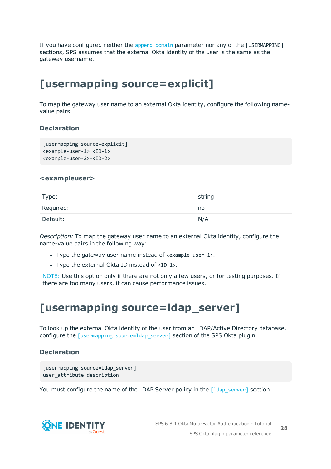If you have configured neither the [append\\_domain](#page-28-1) parameter nor any of the [USERMAPPING] sections, SPS assumes that the external Okta identity of the user is the same as the gateway username.

### <span id="page-27-0"></span>**[usermapping source=explicit]**

To map the gateway user name to an external Okta identity, configure the following namevalue pairs.

### **Declaration**

```
[usermapping source=explicit]
<example-user-1>=<ID-1>
<example-user-2>=<ID-2>
```
### **<exampleuser>**

| Type:     | string |
|-----------|--------|
| Required: | no     |
| Default:  | N/A    |

*Description:* To map the gateway user name to an external Okta identity, configure the name-value pairs in the following way:

- Type the gateway user name instead of  $\epsilon$  example-user-1>.
- Type the external Okta ID instead of  $\langle$ ID-1>.

NOTE: Use this option only if there are not only a few users, or for testing purposes. If there are too many users, it can cause performance issues.

### <span id="page-27-1"></span>**[usermapping source=ldap\_server]**

To look up the external Okta identity of the user from an LDAP/Active Directory database, configure the [usermapping [source=ldap\\_server\]](#page-27-1) section of the SPS Okta plugin.

### **Declaration**

```
[usermapping source=ldap_server]
user attribute=description
```
You must configure the name of the LDAP Server policy in the [Idap server] section.

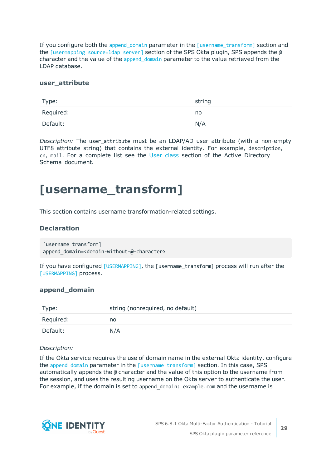If you configure both the [append\\_domain](#page-28-1) parameter in the [\[username\\_transform\]](#page-28-0) section and the [usermapping source=1dap server] section of the SPS Okta plugin, SPS appends the  $\omega$ character and the value of the append domain parameter to the value retrieved from the LDAP database.

### **user\_attribute**

| Type:     | string |
|-----------|--------|
| Required: | no     |
| Default:  | N/A    |

*Description:* The user attribute must be an LDAP/AD user attribute (with a non-empty UTF8 attribute string) that contains the external identity. For example, description, cn, mail. For a complete list see the User [class](https://docs.microsoft.com/en-gb/windows/desktop/ADSchema/c-user) section of the Active Directory Schema document.

### <span id="page-28-0"></span>**[username\_transform]**

This section contains username transformation-related settings.

### **Declaration**

```
[username_transform]
append_domain=<domain-without-@-character>
```
If you have configured [\[USERMAPPING\]](#page-26-0), the [username\_transform] process will run after the [\[USERMAPPING\]](#page-26-0) process.

### <span id="page-28-1"></span>**append\_domain**

| Type:     | string (nonrequired, no default) |
|-----------|----------------------------------|
| Required: | no                               |
| Default:  | N/A                              |

### *Description:*

If the Okta service requires the use of domain name in the external Okta identity, configure the append domain parameter in the [\[username\\_transform\]](#page-28-0) section. In this case, SPS automatically appends the @ character and the value of this option to the username from the session, and uses the resulting username on the Okta server to authenticate the user. For example, if the domain is set to append domain: example.com and the username is

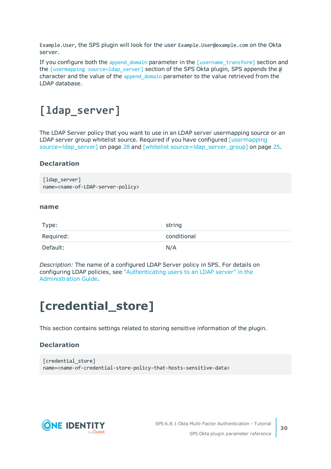Example.User, the SPS plugin will look for the user Example.User@example.com on the Okta server.

If you configure both the [append\\_domain](#page-28-1) parameter in the [\[username\\_transform\]](#page-28-0) section and the [usermapping source=1dap\_server] section of the SPS Okta plugin, SPS appends the @ character and the value of the append domain parameter to the value retrieved from the LDAP database.

### <span id="page-29-0"></span>**[ldap\_server]**

The LDAP Server policy that you want to use in an LDAP server usermapping source or an LDAP server group whitelist source. Required if you have configured [\[usermapping](#page-27-1) [source=ldap\\_server\]](#page-27-1) on page 28 and [whitelist [source=ldap\\_server\\_group\]](#page-24-0) on page 25.

### **Declaration**

```
[ldap server]
name=<name-of-LDAP-server-policy>
```
### **name**

| Type:     | string      |
|-----------|-------------|
| Required: | conditional |
| Default:  | N/A         |

*Description:* The name of a configured LDAP Server policy in SPS. For details on configuring LDAP policies, see ["Authenticating](https://support.oneidentity.com/technical-documents/safeguard-for-privileged-sessions/6.8.1/administration-guide/general-connection-settings/authenticating-users-to-an-ldap-server/) users to an LDAP server" in the [Administration](https://support.oneidentity.com/technical-documents/safeguard-for-privileged-sessions/6.8.1/administration-guide/general-connection-settings/authenticating-users-to-an-ldap-server/) Guide.

# <span id="page-29-1"></span>**[credential\_store]**

This section contains settings related to storing sensitive information of the plugin.

### **Declaration**

```
[credential store]
name=<name-of-credential-store-policy-that-hosts-sensitive-data>
```
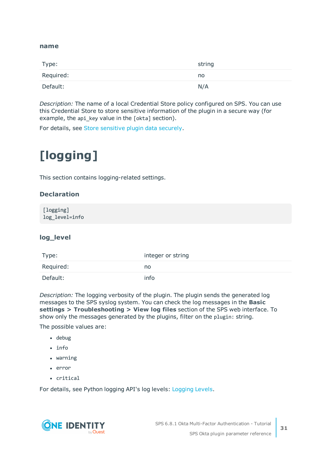### <span id="page-30-1"></span>**name**

| Type:     | string |
|-----------|--------|
| Required: | no     |
| Default:  | N/A    |

*Description:* The name of a local Credential Store policy configured on SPS. You can use this Credential Store to store sensitive information of the plugin in a secure way (for example, the api\_key value in the [okta] section).

<span id="page-30-0"></span>For details, see Store [sensitive](#page-33-0) plugin data securely.

# **[logging]**

This section contains logging-related settings.

### **Declaration**

[logging] log\_level=info

### **log\_level**

| Type:     | integer or string |
|-----------|-------------------|
| Required: | no                |
| Default:  | info              |

*Description:* The logging verbosity of the plugin. The plugin sends the generated log messages to the SPS syslog system. You can check the log messages in the **Basic settings > Troubleshooting > View log files** section of the SPS web interface. To show only the messages generated by the plugins, filter on the plugin: string.

The possible values are:

- debug
- $\cdot$  info
- warning
- error
- critical

For details, see Python logging API's log levels: [Logging](https://docs.python.org/2/library/logging.html#logging-levels) Levels.

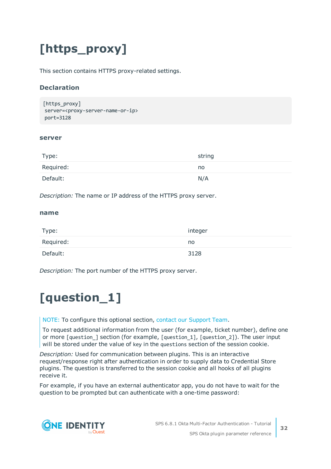# <span id="page-31-0"></span>**[https\_proxy]**

This section contains HTTPS proxy-related settings.

### **Declaration**

```
[https_proxy]
server=<proxy-server-name-or-ip>
port=3128
```
### **server**

| Type:     | string |
|-----------|--------|
| Required: | no     |
| Default:  | N/A    |

*Description:* The name or IP address of the HTTPS proxy server.

### **name**

| Type:     | integer |
|-----------|---------|
| Required: | no      |
| Default:  | 3128    |

<span id="page-31-1"></span>*Description:* The port number of the HTTPS proxy server.

# **[question\_1]**

NOTE: To configure this optional section, contact our [Support](https://support.oneidentity.com/one-identity-safeguard-for-privileged-sessions) Team.

To request additional information from the user (for example, ticket number), define one or more [question\_] section (for example, [question\_1], [question\_2]). The user input will be stored under the value of key in the questions section of the session cookie.

*Description:* Used for communication between plugins. This is an interactive request/response right after authentication in order to supply data to Credential Store plugins. The question is transferred to the session cookie and all hooks of all plugins receive it.

For example, if you have an external authenticator app, you do not have to wait for the question to be prompted but can authenticate with a one-time password:

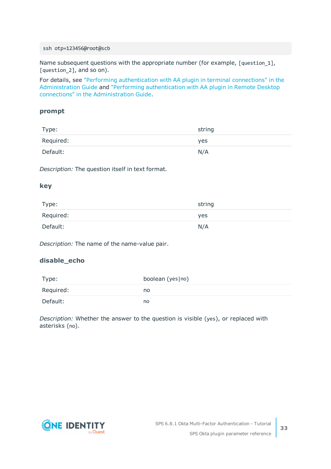#### ssh otp=123456@root@scb

Name subsequent questions with the appropriate number (for example, [question\_1], [question\_2], and so on).

For details, see "Performing [authentication](https://support.oneidentity.com/technical-documents/safeguard-for-privileged-sessions/6.8.1/administration-guide/advanced-authentication-and-authorization-techniques/integrating-external-authentication-and-authorization-systems/performing-authentication-with-aa-plugin-in-terminal-connections/) with AA plugin in terminal connections" in the [Administration](https://support.oneidentity.com/technical-documents/safeguard-for-privileged-sessions/6.8.1/administration-guide/advanced-authentication-and-authorization-techniques/integrating-external-authentication-and-authorization-systems/performing-authentication-with-aa-plugin-in-terminal-connections/) Guide and "Performing [authentication](https://support.oneidentity.com/technical-documents/safeguard-for-privileged-sessions/6.8.1/administration-guide/advanced-authentication-and-authorization-techniques/integrating-external-authentication-and-authorization-systems/performing-authentication-with-aa-plugin-in-remote-desktop-connections/) with AA plugin in Remote Desktop connections" in the [Administration](https://support.oneidentity.com/technical-documents/safeguard-for-privileged-sessions/6.8.1/administration-guide/advanced-authentication-and-authorization-techniques/integrating-external-authentication-and-authorization-systems/performing-authentication-with-aa-plugin-in-remote-desktop-connections/) Guide.

### **prompt**

| Type:     | string |
|-----------|--------|
| Required: | yes    |
| Default:  | N/A    |

*Description:* The question itself in text format.

### **key**

| Type:     | string |
|-----------|--------|
| Required: | yes    |
| Default:  | N/A    |

*Description:* The name of the name-value pair.

### **disable\_echo**

| Type:     | boolean (yes no) |
|-----------|------------------|
| Required: | no               |
| Default:  | no               |

*Description:* Whether the answer to the question is visible (yes), or replaced with asterisks (no).

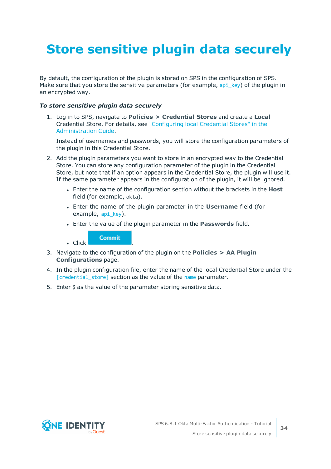# <span id="page-33-0"></span>**Store sensitive plugin data securely**

By default, the configuration of the plugin is stored on SPS in the configuration of SPS. Make sure that you store the sensitive parameters (for example, api key) of the plugin in an encrypted way.

### *To store sensitive plugin data securely*

1. Log in to SPS, navigate to **Policies > Credential Stores** and create a **Local** Credential Store. For details, see ["Configuring](https://support.oneidentity.com/technical-documents/safeguard-for-privileged-sessions/6.8.1/administration-guide/advanced-authentication-and-authorization-techniques/using-credential-stores-for-server-side-authentication/configuring-local-credential-stores/) local Credential Stores" in the [Administration](https://support.oneidentity.com/technical-documents/safeguard-for-privileged-sessions/6.8.1/administration-guide/advanced-authentication-and-authorization-techniques/using-credential-stores-for-server-side-authentication/configuring-local-credential-stores/) Guide.

Instead of usernames and passwords, you will store the configuration parameters of the plugin in this Credential Store.

- 2. Add the plugin parameters you want to store in an encrypted way to the Credential Store. You can store any configuration parameter of the plugin in the Credential Store, but note that if an option appears in the Credential Store, the plugin will use it. If the same parameter appears in the configuration of the plugin, it will be ignored.
	- **.** Enter the name of the configuration section without the brackets in the Host field (for example, okta).
	- <sup>l</sup> Enter the name of the plugin parameter in the **Username** field (for example, api key).
	- <sup>l</sup> Enter the value of the plugin parameter in the **Passwords** field.

**Commit** 

 $\blacksquare$  Click

- 3. Navigate to the configuration of the plugin on the **Policies > AA Plugin Configurations** page.
- 4. In the plugin configuration file, enter the name of the local Credential Store under the [\[credential\\_store\]](#page-29-1) section as the value of the [name](#page-30-1) parameter.
- 5. Enter  $$$  as the value of the parameter storing sensitive data.

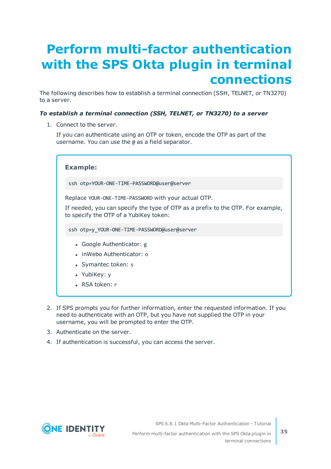# <span id="page-34-0"></span>**Perform multi-factor authentication with the SPS Okta plugin in terminal connections**

The following describes how to establish a terminal connection (SSH, TELNET, or TN3270) to a server.

### *To establish a terminal connection (SSH, TELNET, or TN3270) to a server*

1. Connect to the server.

If you can authenticate using an OTP or token, encode the OTP as part of the username. You can use the @ as a field separator.

| <b>Example:</b>                                                                                                                                                                   |
|-----------------------------------------------------------------------------------------------------------------------------------------------------------------------------------|
| ssh otp=YOUR-ONE-TIME-PASSWORD@user@server                                                                                                                                        |
| Replace YOUR-ONE-TIME-PASSWORD with your actual OTP.<br>If needed, you can specify the type of OTP as a prefix to the OTP. For example,<br>to specify the OTP of a YubiKey token: |
| ssh otp=y YOUR-ONE-TIME-PASSWORD@user@server                                                                                                                                      |
| • Google Authenticator: g<br>• inWebo Authenticator: o                                                                                                                            |

- Symantec token: s
- YubiKey: y
- RSA token: r
- 2. If SPS prompts you for further information, enter the requested information. If you need to authenticate with an OTP, but you have not supplied the OTP in your username, you will be prompted to enter the OTP.
- 3. Authenticate on the server.
- 4. If authentication is successful, you can access the server.



SPS 6.8.1 Okta Multi-Factor Authentication - Tutorial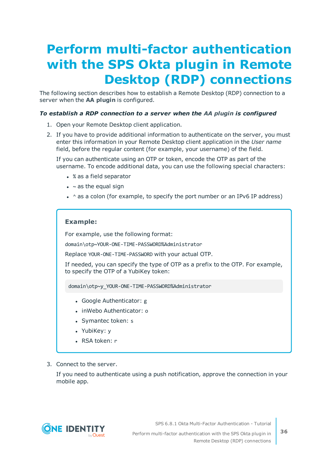# <span id="page-35-0"></span>**Perform multi-factor authentication with the SPS Okta plugin in Remote Desktop (RDP) connections**

The following section describes how to establish a Remote Desktop (RDP) connection to a server when the **AA plugin** is configured.

### *To establish a RDP connection to a server when the AA plugin is configured*

- 1. Open your Remote Desktop client application.
- 2. If you have to provide additional information to authenticate on the server, you must enter this information in your Remote Desktop client application in the *User name* field, before the regular content (for example, your username) of the field.

If you can authenticate using an OTP or token, encode the OTP as part of the username. To encode additional data, you can use the following special characters:

- % as a field separator
- $\bullet$  ~ as the equal sign
- $\cdot$  ^ as a colon (for example, to specify the port number or an IPv6 IP address)

### **Example:**

For example, use the following format:

domain\otp~YOUR-ONE-TIME-PASSWORD%Administrator

Replace YOUR-ONE-TIME-PASSWORD with your actual OTP.

If needed, you can specify the type of OTP as a prefix to the OTP. For example, to specify the OTP of a YubiKey token:

domain\otp~y\_YOUR-ONE-TIME-PASSWORD%Administrator

- Google Authenticator: g
- inWebo Authenticator: o
- Symantec token: s
- YubiKey: y
- RSA token: r
- 3. Connect to the server.

If you need to authenticate using a push notification, approve the connection in your mobile app.



SPS 6.8.1 Okta Multi-Factor Authentication - Tutorial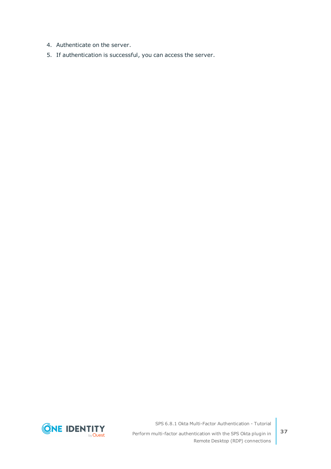- 4. Authenticate on the server.
- 5. If authentication is successful, you can access the server.



SPS 6.8.1 Okta Multi-Factor Authentication - Tutorial

Perform multi-factor authentication with the SPS Okta plugin in Remote Desktop (RDP) connections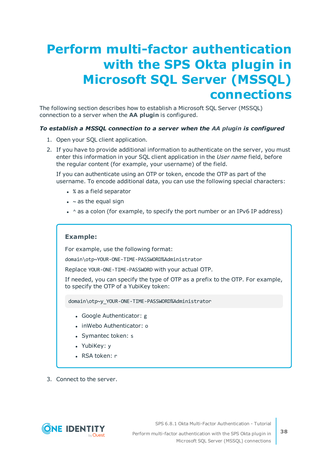# <span id="page-37-0"></span>**Perform multi-factor authentication with the SPS Okta plugin in Microsoft SQL Server (MSSQL) connections**

The following section describes how to establish a Microsoft SQL Server (MSSQL) connection to a server when the **AA plugin** is configured.

### *To establish a MSSQL connection to a server when the AA plugin is configured*

- 1. Open your SQL client application.
- 2. If you have to provide additional information to authenticate on the server, you must enter this information in your SQL client application in the *User name* field, before the regular content (for example, your username) of the field.

If you can authenticate using an OTP or token, encode the OTP as part of the username. To encode additional data, you can use the following special characters:

- % as a field separator
- $\bullet$  ~ as the equal sign
- $\cdot$  ^ as a colon (for example, to specify the port number or an IPv6 IP address)

### **Example:**

For example, use the following format:

domain\otp~YOUR-ONE-TIME-PASSWORD%Administrator

Replace YOUR-ONE-TIME-PASSWORD with your actual OTP.

If needed, you can specify the type of OTP as a prefix to the OTP. For example, to specify the OTP of a YubiKey token:

domain\otp~y\_YOUR-ONE-TIME-PASSWORD%Administrator

- Google Authenticator: g
- inWebo Authenticator: o
- Symantec token: s
- YubiKey: y
- RSA token: r
- 3. Connect to the server.



SPS 6.8.1 Okta Multi-Factor Authentication - Tutorial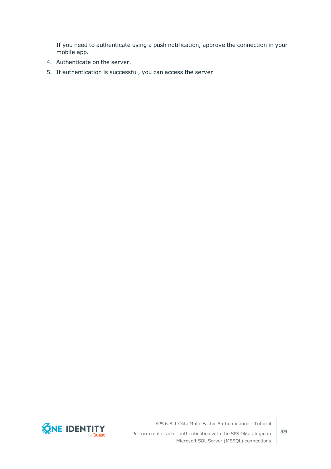If you need to authenticate using a push notification, approve the connection in your mobile app.

- 4. Authenticate on the server.
- 5. If authentication is successful, you can access the server.



SPS 6.8.1 Okta Multi-Factor Authentication - Tutorial

Perform multi-factor authentication with the SPS Okta plugin in Microsoft SQL Server (MSSQL) connections